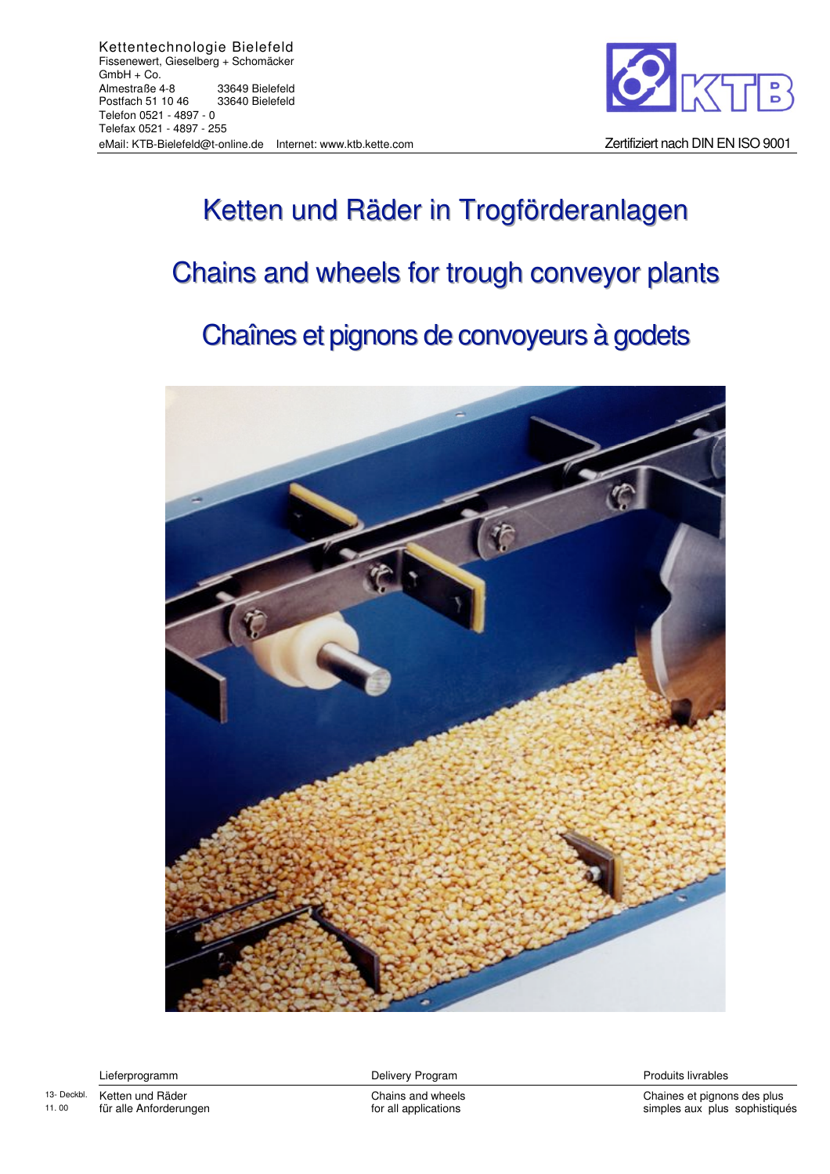

## Ketten und Räder in Trogförderanlagen Chains and wheels for trough conveyor plants Chaînes et pignons de convoyeurs à godets



Lieferprogramm and the control of Delivery Program Control of the Produits livrables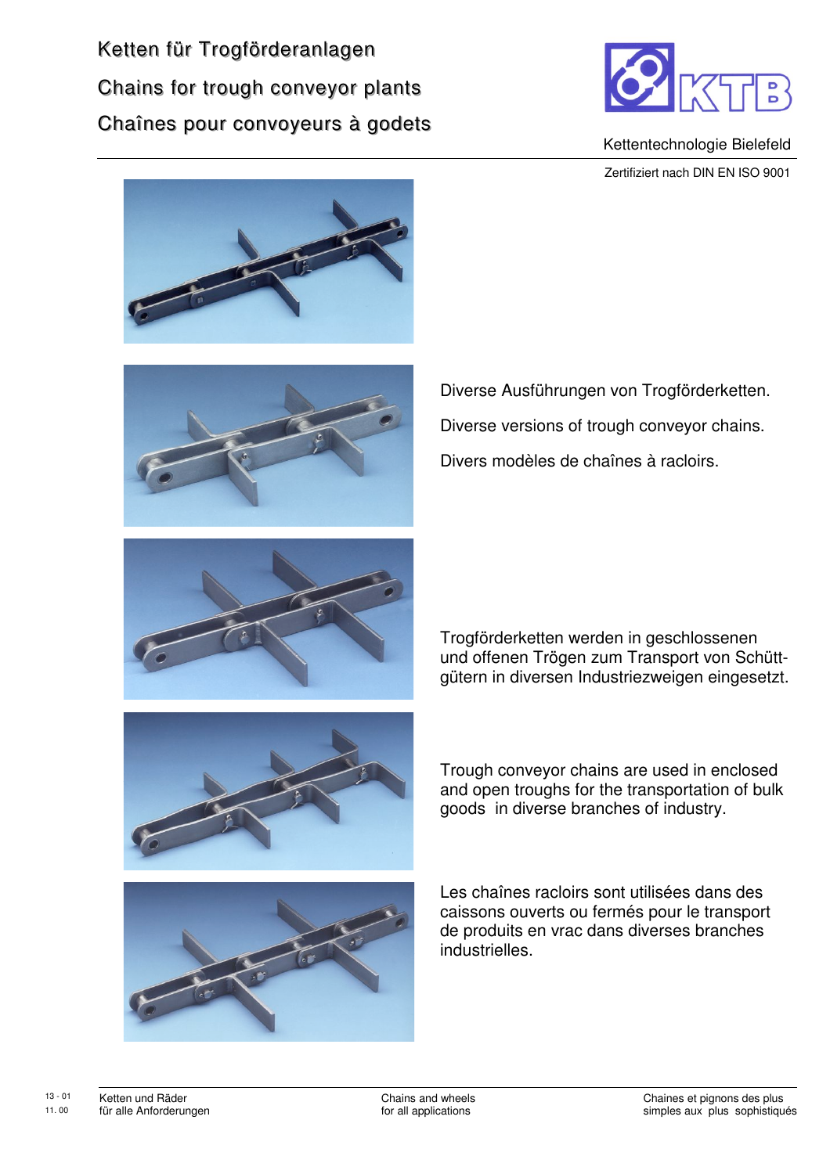Ketten für Trogförderanlagen Chains for trough conveyor plants Chaînes pour convoyeurs à godets



Kettentechnologie Bielefeld Zertifiziert nach DIN EN ISO 9001





Diverse Ausführungen von Trogförderketten. Diverse versions of trough conveyor chains. Divers modèles de chaînes à racloirs.



Trogförderketten werden in geschlossenen und offenen Trögen zum Transport von Schüttgütern in diversen Industriezweigen eingesetzt.



Trough conveyor chains are used in enclosed and open troughs for the transportation of bulk goods in diverse branches of industry.



Les chaînes racloirs sont utilisées dans des caissons ouverts ou fermés pour le transport de produits en vrac dans diverses branches industrielles.